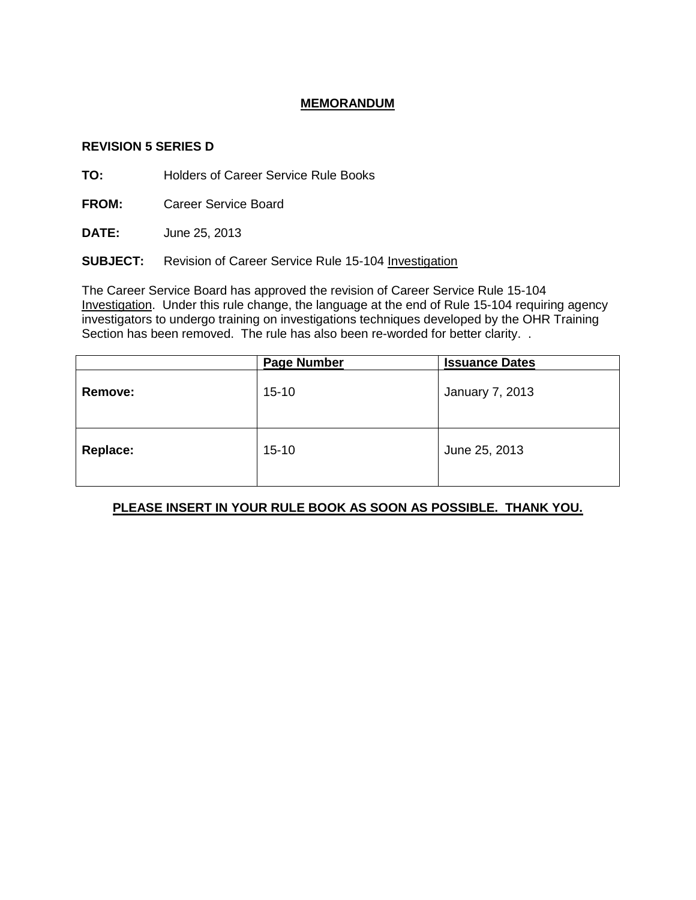## **MEMORANDUM**

#### **REVISION 5 SERIES D**

**TO:** Holders of Career Service Rule Books

**FROM:** Career Service Board

**DATE:** June 25, 2013

**SUBJECT:** Revision of Career Service Rule 15-104 Investigation

The Career Service Board has approved the revision of Career Service Rule 15-104 Investigation. Under this rule change, the language at the end of Rule 15-104 requiring agency investigators to undergo training on investigations techniques developed by the OHR Training Section has been removed. The rule has also been re-worded for better clarity. .

|          | <b>Page Number</b> | <b>Issuance Dates</b> |
|----------|--------------------|-----------------------|
| Remove:  | $15 - 10$          | January 7, 2013       |
| Replace: | $15 - 10$          | June 25, 2013         |

# **PLEASE INSERT IN YOUR RULE BOOK AS SOON AS POSSIBLE. THANK YOU.**